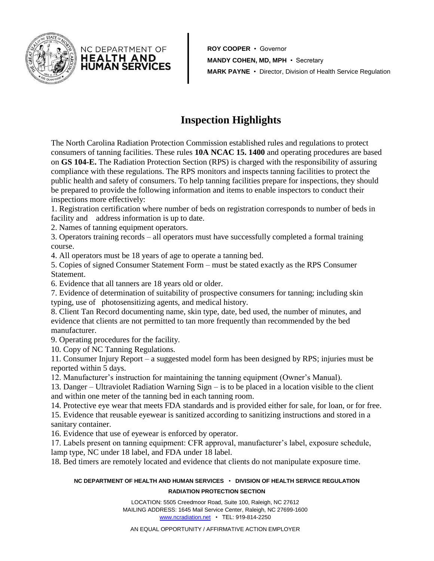

**ROY COOPER** • Governor **MANDY COHEN, MD, MPH** • Secretary **MARK PAYNE** • Director, Division of Health Service Regulation

## **Inspection Highlights**

The North Carolina Radiation Protection Commission established rules and regulations to protect consumers of tanning facilities. These rules **10A NCAC 15. 1400** and operating procedures are based on **GS 104-E.** The Radiation Protection Section (RPS) is charged with the responsibility of assuring compliance with these regulations. The RPS monitors and inspects tanning facilities to protect the public health and safety of consumers. To help tanning facilities prepare for inspections, they should be prepared to provide the following information and items to enable inspectors to conduct their inspections more effectively:

1. Registration certification where number of beds on registration corresponds to number of beds in facility and address information is up to date.

2. Names of tanning equipment operators.

NC DEPARTMENT OF **HEALTH AND** HUMAN SERVICES

3. Operators training records – all operators must have successfully completed a formal training course.

4. All operators must be 18 years of age to operate a tanning bed.

5. Copies of signed Consumer Statement Form – must be stated exactly as the RPS Consumer Statement.

6. Evidence that all tanners are 18 years old or older.

7. Evidence of determination of suitability of prospective consumers for tanning; including skin typing, use of photosensitizing agents, and medical history.

8. Client Tan Record documenting name, skin type, date, bed used, the number of minutes, and evidence that clients are not permitted to tan more frequently than recommended by the bed manufacturer.

9. Operating procedures for the facility.

10. Copy of NC Tanning Regulations.

11. Consumer Injury Report – a suggested model form has been designed by RPS; injuries must be reported within 5 days.

12. Manufacturer's instruction for maintaining the tanning equipment (Owner's Manual).

13. Danger – Ultraviolet Radiation Warning Sign – is to be placed in a location visible to the client and within one meter of the tanning bed in each tanning room.

14. Protective eye wear that meets FDA standards and is provided either for sale, for loan, or for free. 15. Evidence that reusable eyewear is sanitized according to sanitizing instructions and stored in a

sanitary container.

16. Evidence that use of eyewear is enforced by operator.

17. Labels present on tanning equipment: CFR approval, manufacturer's label, exposure schedule, lamp type, NC under 18 label, and FDA under 18 label.

18. Bed timers are remotely located and evidence that clients do not manipulate exposure time.

## **NC DEPARTMENT OF HEALTH AND HUMAN SERVICES** • **DIVISION OF HEALTH SERVICE REGULATION RADIATION PROTECTION SECTION**

LOCATION: 5505 Creedmoor Road, Suite 100, Raleigh, NC 27612 MAILING ADDRESS: 1645 Mail Service Center, Raleigh, NC 27699-1600 [www.ncradiation.net](http://www.ncradiation.net/) • TEL: 919-814-2250